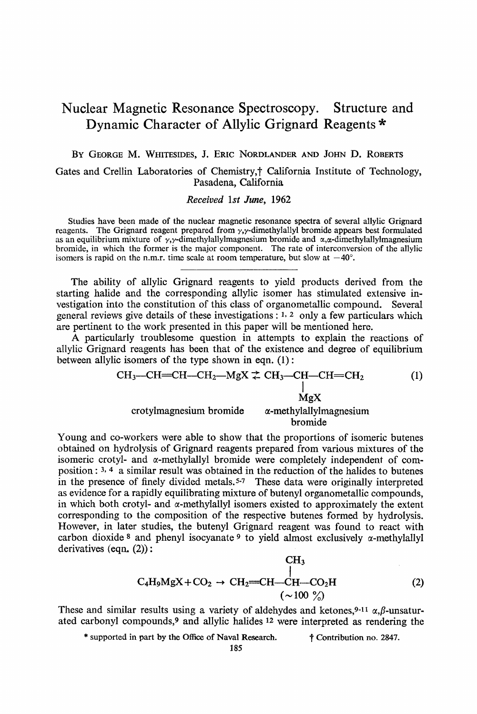## Nuclear Magnetic Resonance Spectroscopy. Structure and Dynamic Character of Allylic Grignard Reagents \*

BY GEORGE M. WHITESIDES, **J.** ERIC NORDLANDER AND **JOHN D.** ROBERTS

Gates and Crellin Laboratories of Chemistry,<sup>†</sup> California Institute of Technology, Pasadena, California

*Received* 1st *June,* **1962** 

Studies have been made of the nuclear magnetic resonance spectra of several allylic Grignard reagents. The Grignard reagent prepared from y,y-dimethylallyl bromide **appears** best formulated as an equilibrium mixture of  $\gamma$ ,  $\gamma$ -dimethylallylmagnesium bromide and  $\alpha$ , $\alpha$ -dimethylallylmagnesium bromide, in which the former is the major component. The rate of interconversion **of** the allylic isomers is rapid on the n.m.r. time scale at room temperature, but slow at  $-40^{\circ}$ .

The ability of allylic Grignard reagents to yield products derived from the starting halide and the corresponding allylic isomer has stimulated extensive investigation into the constitution of this class of organometallic compound. Several general reviews give details of these investigations  $: 1, 2$  only a few particulars which are pertinent to the work presented in this paper will be mentioned here.

**A** particularly troublesome question in attempts to explain the reactions of allylic Grignard reagents has been that of the existence and degree of equilibrium between allylic isomers of the type shown in eqn. (1) :

CH<sub>3</sub>—CH=CH—CH<sub>2</sub>—MgX 
$$
\stackrel{\rightarrow}{\sim}
$$
 CH<sub>3</sub>—CH=CH<sub>2</sub> (1)  
\nMgX  
\ncrotylmagnesium bromide  
\n $\alpha$ -methylallymagnesium  
\nbromide

Young and co-workers were able to show that the proportions of isomeric butenes obtained on hydrolysis of Grignard reagents prepared from various mixtures of the isomeric crotyl- and  $\alpha$ -methylallyl bromide were completely independent of composition : **39** 4 a similar result was obtained in the reduction of the halides to butenes in the presence of finely divided metals.5-7 These data were originally interpreted as evidence for a rapidly equilibrating mixture of butenyl organometallic compounds, in which both crotyl- and  $\alpha$ -methylallyl isomers existed to approximately the extent corresponding to the composition of the respective butenes formed by hydrolysis. However, in later studies, the butenyl Grignard reagent was found to react with carbon dioxide **8** and phenyl isocyanate 9 to yield almost exclusively a-methylallyl derivatives (eqn. (2)) :

$$
CH3
$$
  
\n
$$
C4H9MgX + CO2 \rightarrow CH2=CH-CH-CO2H
$$
  
\n
$$
(\sim 100 \%)
$$
 (2)

These and similar results using a variety of aldehydes and ketones, 9-11  $\alpha$ ,  $\beta$ -unsaturated carbonyl compounds,9 and allylic halides 12 were interpreted **as** rendering the

\* supported in part by the Office of Naval Research.  $\uparrow$  Contribution no. 2847.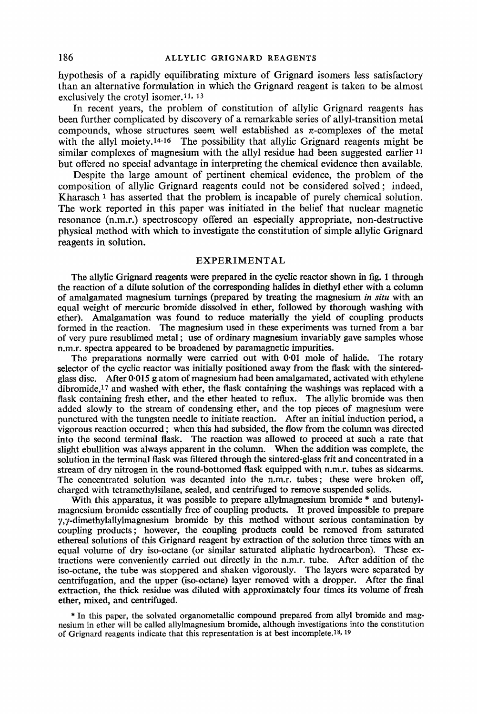hypothesis of a rapidly equilibrating mixture of Grignard isomers less satisfactory than an alternative formulation in which the Grignard reagent is taken to be almost exclusively the crotyl isomer.11. **<sup>33</sup>**

In recent years, the problem of constitution of allylic Grignard reagents has been further complicated by discovery of a remarkable series of allyl-transition metal compounds, whose structures seem well established as  $\pi$ -complexes of the metal with the allyl moiety.<sup>14-16</sup> The possibility that allylic Grignard reagents might be similar complexes of magnesium with the allyl residue had been suggested earlier <sup>11</sup> but offered no special advantage in interpreting the chemical evidence then available.

Despite the large amount of pertinent chemical evidence, the problem of the composition of allylic Grignard reagents could not be considered solved ; indeed, Kharasch 1 has asserted that the problem is incapable of purely chemical solution. The work reported in this paper was initiated in the belief that nuclear magnetic resonance (n.m.r.) spectroscopy offered an especially appropriate, non-destructive physical method with which to investigate the constitution of simple allylic Grignard reagents in solution.

## EXPERIMENTAL

The allylic Grignard reagents were prepared in the cyclic reactor shown in fig. **1** through the reaction of a dilute solution of the corresponding halides in diethyl ether with a column of amalgamated magnesium turnings (prepared by treating the magnesium *in situ* with an equal weight of mercuric bromide dissolved in ether, followed by thorough washing with ether). Amalgamation was found to reduce materially the yield of coupling products formed in the reaction. The magnesium used in these experiments was turned from a bar of very pure resublimed metal ; use of ordinary magnesium invariably gave samples whose n.m.r. spectra appeared to be broadened by paramagnetic impurities.

The preparations normally were carried out with **0.01** mole of halide. The rotary selector of the cyclic reactor was initially positioned away from the flask with the sinteredglass disc. After **0.01** *5* g atom of magnesium had been amalgamated, activated with ethylene dibromide, $17$  and washed with ether, the flask containing the washings was replaced with a flask containing fresh ether, and the ether heated to reflux. The allylic bromide was then added slowly to the stream of condensing ether, and the top pieces of magnesium were punctured with the tungsten needle to initiate reaction. After an initial induction period, a vigorous reaction occurred ; when this had subsided, the flow from the column was directed into the second terminal flask. The reaction was allowed to proceed at such a rate that slight ebullition was always apparent in the column. When the addition was complete, the solution in the terminal flask was filtered through the sintered-glass frit and concentrated in a stream of dry nitrogen in the round-bottomed flask equipped with n.m.r. tubes as sidearms. The concentrated solution was decanted into the n.m.r. tubes; these were broken off, charged with tetramethylsilane, sealed, and centrifuged to remove suspended solids.

With this apparatus, it was possible to prepare ally magnesium bromide  $*$  and butenylmagnesium bromide essentially free of coupling products. It proved impossible to prepare **y,y-dimethylallylmagnesium** bromide by this method without serious contamination by coupling products ; however, the coupling products could be removed from saturated ethereal solutions of this Grignard reagent by extraction of the solution three times with an equal volume of dry iso-octane (or similar saturated aliphatic hydrocarbon). These extractions were conveniently carried out directly in the n.m.r. tube. After addition of the iso-octane, the tube was stoppered and shaken vigorously. The layers were separated by centrifugation, and the upper (iso-octane) layer removed with a dropper. After the final extraction, the thick residue was diluted with approximately **four** times its volume of fresh ether, mixed, and centrifuged.

\* **In this paper, the solvated organometallic compound prepared from allyl bromide and magnesium in ether will be called allylmagnesium bromide, although investigations into the constitution**  of Grignard reagents indicate that this representation is at best incomplete.<sup>18, 19</sup>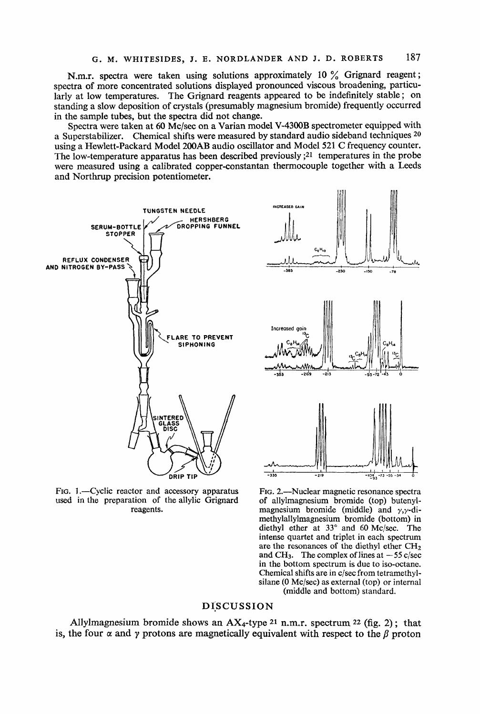N.m.r. spectra were taken using solutions approximately 10  $\%$  Grignard reagent; spectra of more concentrated solutions displayed pronounced viscous broadening, particularly at low temperatures. The Grignard reagents appeared to be indefinitely stable; on standing a slow deposition of crystals (presumably magnesium bromide) frequently occurred in the sample tubes, but the spectra did not change.

Spectra were taken at *60* Mc/sec on **a** Varian model **V-4300B** spectrometer equipped with a Superstabilizer. Chemical shifts were measured by standard audio sideband techniques **20**  using a Hewlett-Packard Model **200AB** audio oscillator and Model 521 **C** frequency counter. The low-temperature apparatus has been described previously **;21** temperatures in the probe were measured using a calibrated copper-constantan thermocouple together with a Leeds and Northrup precision potentiometer.





FIG. 1.-Cyclic reactor and accessory apparatus used in the preparation of the allylic Grignard reagents.

**FIG.** 2.-Nuclear magnetic resonance spectra of allylmagnesium bromide (top) butenylmagnesium bromide (middle) and  $\gamma$ ,  $\gamma$ -dimethylalIylmagnesium bromide (bottom) in diethyl ether at 33° and 60 Mc/sec. The intense quartet and triplet in each spectrum are the resonances of the diethyl ether  $CH_2$ <br>and  $CH_3$ . The complex of lines at  $-55$  c/sec in the bottom spectrum is due to iso-octane. Chemical shifts are in c/sec from tetramethylsilane  $(0 \text{ Mc/sec})$  as external  $(top)$  or internal (middle and bottom) standard.

## $DISCUSSION$

Allylmagnesiiim bromide shows an **AX4-type 21** n.m.r. spectrum **22 (fig.** 2) ; that is, the four  $\alpha$  and  $\gamma$  protons are magnetically equivalent with respect to the  $\beta$  proton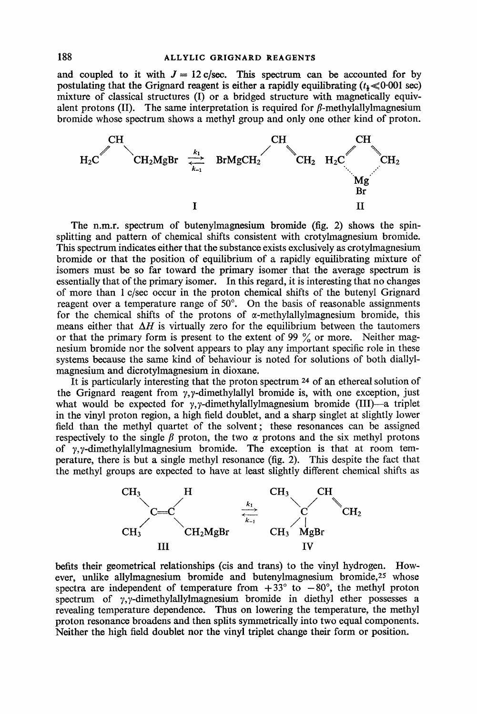and coupled to it with  $J = 12$  c/sec. This spectrum can be accounted for by postulating that the Grignard reagent is either a rapidly equilibrating  $(t_1 \ll 0.001 \text{ sec})$ mixture of classical structures **(I)** or a bridged structure with magnetically equivalent protons (II). The same interpretation is required for  $\beta$ -methylallylmagnesium bromide whose spectrum shows a methyl group and only one other kind of proton.



The n.m.r. spectrum of butenylmagnesium bromide (fig. 2) shows the spinsplitting and pattern of chemical shifts consistent with crotylmagnesium bromide. This spectrum indicates either: that the substance exists exclusively **as** crotylmagnesium bromide or that the position of equilibrium of a rapidly equilibrating mixture of isomers must be so far toward the primary isomer that the average spectrum is essentially that of the primary isomer. In this regard, it is interesting that no changes of more than 1 c/sec occur in the proton chemical shifts of the butenyl Grignard reagent over a temperature range of 50°. On the basis of reasonable assignments for the chemical shifts of the protons of  $\alpha$ -methylallylmagnesium bromide, this means either that  $\Delta H$  is virtually zero for the equilibrium between the tautomers or that the primary form is present to the extent of 99  $\%$  or more. Neither magnesium bromide nor the solvent appears to play any important specific role in these systems because the same kind **of** behaviour is noted for solutions of both diallylmagnesium and dicrotylmagnesium in dioxane.

It is particularly interesting that the proton spectrum **24** of an ethereal solution of the Grignard reagent from  $\gamma$ ,  $\gamma$ -dimethylallyl bromide is, with one exception, just what would be expected for  $\gamma$ ,  $\gamma$ -dimethylallylmagnesium bromide (III)-a triplet in the vinyl proton region, a high field doublet, and a sharp singlet at slightly lower field than the methyl quartet of the solvent; these resonances can be assigned respectively to the single  $\beta$  proton, the two  $\alpha$  protons and the six methyl protons of  $\gamma$ , *y*-dimethylallylmagnesium bromide. The exception is that at room temperature, there is but a single methyl resonance (fig. 2). This despite the fact that the methyl groups are expected to have at least slightly different chemical shifts as



befits their geometrical relationships (cis and trans) to the vinyl hydrogen. However, unlike allylmagnesium bromide and butenylmagnesium bromide, $25$  whose spectra are independent of temperature from  $+33^{\circ}$  to  $-80^{\circ}$ , the methyl proton spectrum of  $\gamma$ , *y*-dimethylallylmagnesium bromide in diethyl ether possesses a revealing temperature dependence. Thus on lowering the temperature, the methyl proton resonance broadens and then splits symmetrically into two equal components. Neither the high field doublet nor the vinyl triplet change their form or position.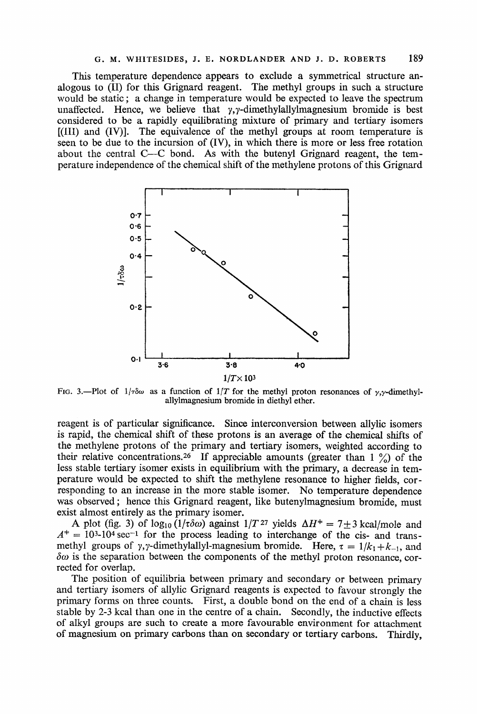This temperature dependence appears to exclude a symmetrical structure **an**alogous to **(11)** for this Grignard reagent. The methyl groups in such a structure would be static; a change in temperature would be expected to leave the spectrum unaffected. Hence, we believe that  $\gamma$ ,  $\gamma$ -dimethylally lmagnesium bromide is best considered to be a rapidly equilibrating mixture **of** primary and tertiary isomers **[(III)** and **(IV)].** The equivalence of the methyl groups at room temperature is seen to be due to the incursion of **(IV),** in which there is more or less free rotation about the central *C-C* bond. **As** with the butenyl Grignard reagent, the temperature independence of the chemical shift of the methylene protons of this Grignard



**allylmagnesium** bromide **in diethyl ether.**  FIG. 3.—Plot of  $1/\tau \delta \omega$  as a function of  $1/T$  for the methyl proton resonances of  $\gamma$ ,  $\gamma$ -dimethyl-

reagent is of particular significance. Since interconversion between allylic isomers is rapid, the chemical shift of these protons is an average of the chemical shifts of the methylene protons of the primary and tertiary isomers, weighted according to their relative concentrations.<sup>26</sup> If appreciable amounts (greater than 1  $\%$ ) of the less stable tertiary isomer exists in equilibrium with the primary, a decrease in temperature would be expected to shift the methylene resonance to higher fields, corresponding to an increase in the more stable isomer. No temperature dependence was observed ; hence this Crignard reagent, like butenylmagnesium bromide, must exist almost entirely as the primary isomer.

A plot (fig. 3) of  $\log_{10} (1/\tau \delta \omega)$  against  $1/T^{27}$  yields  $\Delta H^+ = 7 \pm 3$  kcal/mole and  $A^* = 10^{3}$ -10<sup>4</sup> sec<sup>-1</sup> for the process leading to interchange of the cis- and transmethyl groups of  $\gamma$ ,  $\gamma$ -dimethylallyl-magnesium bromide. Here,  $\tau = 1/k_1 + k_{-1}$ , and  $\delta\omega$  is the separation between the components of the methyl proton resonance, corrected for overlap.

The position of equilibria between primary and secondary or between primary and tertiary isomers of allylic Grignard reagents is expected to favour strongly the primary forms on three counts. First, a double bond on the end of a chain is less stable by 2-3 kcal than one in the centre of a chain. Secondly, the inductive effects of alkyl groups are such to create a more favourable environment for attachment of magnesium on primary carbons than on secondary or tertiary carbons. Thirdly,